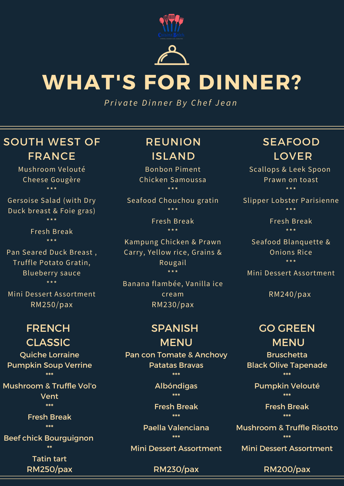



# **WHAT'S FOR DINNER?**

*P ri v a t e D i n n e r B y C h e f J e a n*

### SOUTH WEST OF FRANCE

Mushroom Velouté Cheese Gougère \*\*\*

Gersoise Salad (with Dry Duck breast & Foie gras) \*\*\*

> Fresh Break \*\*\*

Pan Seared Duck Breast , Truffle Potato Gratin, Blueberry sauce \*\*\*

Mini Dessert Assortment RM250/pax

### FRENCH CLASSIC

Quiche Lorraine Pumpkin Soup Verrine \*\*\*

Mushroom & Truffle Vol'o Vent \*\*\*

> Fresh Break \*\*\*

Beef chick Bourguignon \*\*

> Tatin tart RM250/pax

### REUNION ISLAND

Bonbon Piment Chicken Samoussa \*\*\*

Seafood Chouchou gratin \*\*\*

> Fresh Break \*\*\*

Kampung Chicken & Prawn Carry, Yellow rice, Grains & Rougail \*\*\*

Banana flambée, Vanilla ice cream RM230/pax

## SPANISH

MENU Pan con Tomate & Anchovy Patatas Bravas \*\*\*

> Albóndigas \*\*\*

Fresh Break \*\*\*

Paella Valenciana \*\*\*

Mini Dessert Assortment

#### RM230/pax

### SEAFOOD LOVER

Scallops & Leek Spoon Prawn on toast \*\*\*

Slipper Lobster Parisienne \*\*\*

> Fresh Break \*\*\*

Seafood Blanquette & Onions Rice \*\*\*

Mini Dessert Assortment

RM240/pax

### GO GREEN MENU

Bruschetta Black Olive Tapenade \*\*\*

Pumpkin Velouté \*\*\*

> Fresh Break \*\*\*

Mushroom & Truffle Risotto \*\*\*

Mini Dessert Assortment

RM200/pax